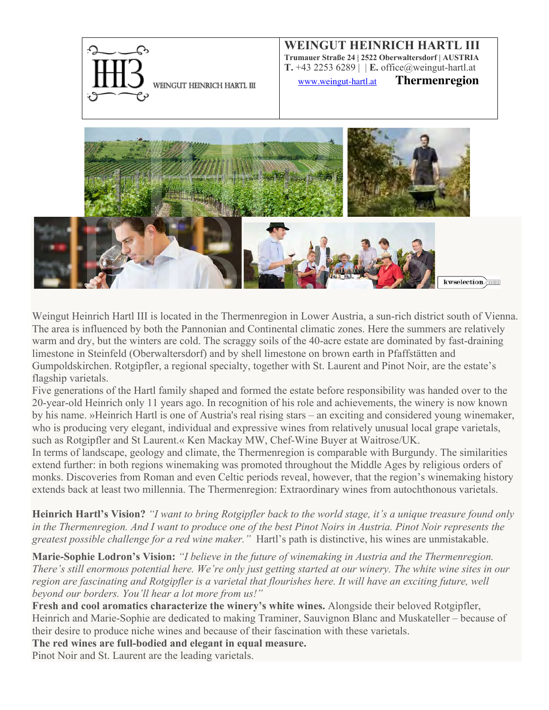



Weingut Heinrich Hartl III is located in the Thermenregion in Lower Austria, a sun-rich district south of Vienna. The area is influenced by both the Pannonian and Continental climatic zones. Here the summers are relatively warm and dry, but the winters are cold. The scraggy soils of the 40-acre estate are dominated by fast-draining limestone in Steinfeld (Oberwaltersdorf) and by shell limestone on brown earth in Pfaffstätten and Gumpoldskirchen. Rotgipfler, a regional specialty, together with St. Laurent and Pinot Noir, are the estate's flagship varietals.

Five generations of the Hartl family shaped and formed the estate before responsibility was handed over to the 20-year-old Heinrich only 11 years ago. In recognition of his role and achievements, the winery is now known by his name. »Heinrich Hartl is one of Austria's real rising stars – an exciting and considered young winemaker, who is producing very elegant, individual and expressive wines from relatively unusual local grape varietals, such as Rotgipfler and St Laurent.« Ken Mackay MW, Chef-Wine Buyer at Waitrose/UK.

In terms of landscape, geology and climate, the Thermenregion is comparable with Burgundy. The similarities extend further: in both regions winemaking was promoted throughout the Middle Ages by religious orders of monks. Discoveries from Roman and even Celtic periods reveal, however, that the region's winemaking history extends back at least two millennia. The Thermenregion: Extraordinary wines from autochthonous varietals.

**Heinrich Hartl's Vision?** *"I want to bring Rotgipfler back to the world stage, it's a unique treasure found only in the Thermenregion. And I want to produce one of the best Pinot Noirs in Austria. Pinot Noir represents the greatest possible challenge for a red wine maker."* Hartl's path is distinctive, his wines are unmistakable.

**Marie-Sophie Lodron's Vision:** *"I believe in the future of winemaking in Austria and the Thermenregion. There's still enormous potential here. We're only just getting started at our winery. The white wine sites in our region are fascinating and Rotgipfler is a varietal that flourishes here. It will have an exciting future, well beyond our borders. You'll hear a lot more from us!"* 

**Fresh and cool aromatics characterize the winery's white wines.** Alongside their beloved Rotgipfler, Heinrich and Marie-Sophie are dedicated to making Traminer, Sauvignon Blanc and Muskateller – because of their desire to produce niche wines and because of their fascination with these varietals.

**The red wines are full-bodied and elegant in equal measure.**

Pinot Noir and St. Laurent are the leading varietals.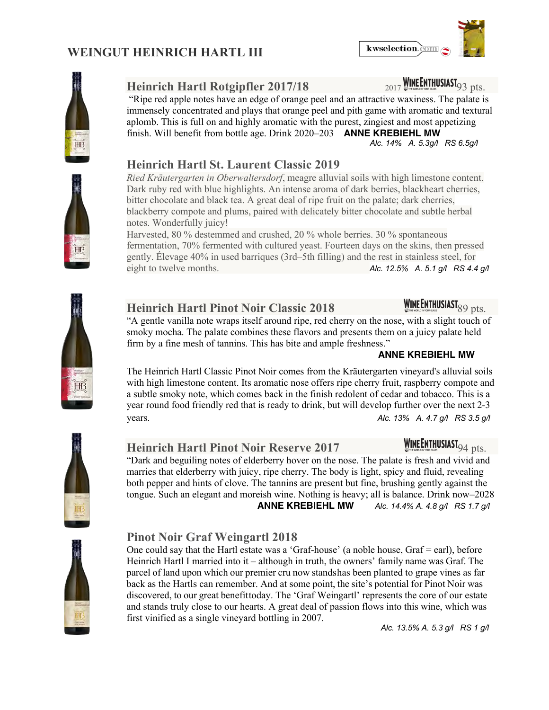## **WEINGUT HEINRICH HARTL III**





# Heinrich Hartl Rotgipfler 2017/18 2017 **WINEENTHUSIAST**<sub>93 pts</sub>.

 "Ripe red apple notes have an edge of orange peel and an attractive waxiness. The palate is immensely concentrated and plays that orange peel and pith game with aromatic and textural aplomb. This is full on and highly aromatic with the purest, zingiest and most appetizing finish. Will benefit from bottle age. Drink 2020–203 **ANNE KREBIEHL MW**   *Alc. 14% A. 5.3g/l RS 6.5g/l*

### **Heinrich Hartl St. Laurent Classic 2019**

*Ried Kräutergarten in Oberwaltersdorf*, meagre alluvial soils with high limestone content. Dark ruby red with blue highlights. An intense aroma of dark berries, blackheart cherries, bitter chocolate and black tea. A great deal of ripe fruit on the palate; dark cherries, blackberry compote and plums, paired with delicately bitter chocolate and subtle herbal notes. Wonderfully juicy!

Harvested, 80 % destemmed and crushed, 20 % whole berries. 30 % spontaneous fermentation, 70% fermented with cultured yeast. Fourteen days on the skins, then pressed gently. Élevage 40% in used barriques (3rd–5th filling) and the rest in stainless steel, for eight to twelve months. *Alc. 12.5% A. 5.1 g/l RS 4.4 g/l*

# **Heinrich Hartl Pinot Noir Classic 2018** WINEENTHUSIAST<sub>89 pts.</sub>

"A gentle vanilla note wraps itself around ripe, red cherry on the nose, with a slight touch of smoky mocha. The palate combines these flavors and presents them on a juicy palate held firm by a fine mesh of tannins. This has bite and ample freshness."

### **ANNE KREBIEHL MW**

The Heinrich Hartl Classic Pinot Noir comes from the Kräutergarten vineyard's alluvial soils with high limestone content. Its aromatic nose offers ripe cherry fruit, raspberry compote and a subtle smoky note, which comes back in the finish redolent of cedar and tobacco. This is a year round food friendly red that is ready to drink, but will develop further over the next 2-3 years. *Alc. 13% A. 4.7 g/l RS 3.5 g/l* years.

# **Heinrich Hartl Pinot Noir Reserve 2017** WINEENITHUSIAST<sub>94 pts.</sub>

"Dark and beguiling notes of elderberry hover on the nose. The palate is fresh and vivid and marries that elderberry with juicy, ripe cherry. The body is light, spicy and fluid, revealing both pepper and hints of clove. The tannins are present but fine, brushing gently against the tongue. Such an elegant and moreish wine. Nothing is heavy; all is balance. Drink now–2028  **ANNE KREBIEHL MW** *Alc. 14.4% A. 4.8 g/l RS 1.7 g/l*



### **Pinot Noir Graf Weingartl 2018**

One could say that the Hartl estate was a 'Graf-house' (a noble house, Graf = earl), before Heinrich Hartl I married into it – although in truth, the owners' family name was Graf. The parcel of land upon which our premier cru now standshas been planted to grape vines as far back as the Hartls can remember. And at some point, the site's potential for Pinot Noir was discovered, to our great benefittoday. The 'Graf Weingartl' represents the core of our estate and stands truly close to our hearts. A great deal of passion flows into this wine, which was first vinified as a single vineyard bottling in 2007.

*Alc. 13.5% A. 5.3 g/l RS 1 g/l*